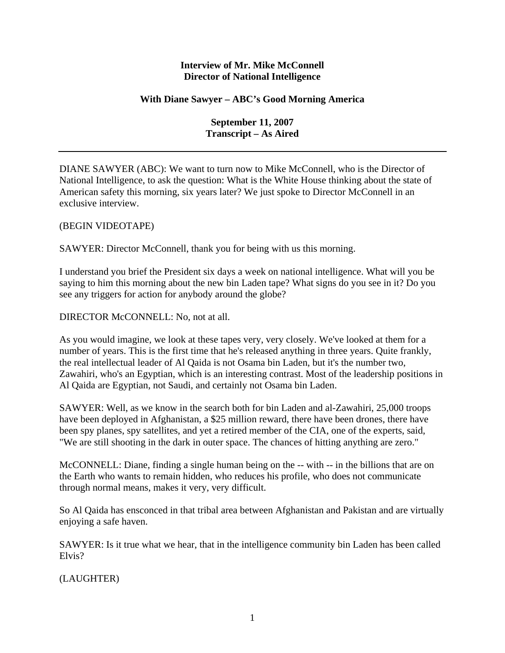## **Interview of Mr. Mike McConnell Director of National Intelligence**

## **With Diane Sawyer – ABC's Good Morning America**

**September 11, 2007 Transcript – As Aired** 

DIANE SAWYER (ABC): We want to turn now to Mike McConnell, who is the Director of National Intelligence, to ask the question: What is the White House thinking about the state of American safety this morning, six years later? We just spoke to Director McConnell in an exclusive interview.

## (BEGIN VIDEOTAPE)

SAWYER: Director McConnell, thank you for being with us this morning.

I understand you brief the President six days a week on national intelligence. What will you be saying to him this morning about the new bin Laden tape? What signs do you see in it? Do you see any triggers for action for anybody around the globe?

DIRECTOR McCONNELL: No, not at all.

As you would imagine, we look at these tapes very, very closely. We've looked at them for a number of years. This is the first time that he's released anything in three years. Quite frankly, the real intellectual leader of Al Qaida is not Osama bin Laden, but it's the number two, Zawahiri, who's an Egyptian, which is an interesting contrast. Most of the leadership positions in Al Qaida are Egyptian, not Saudi, and certainly not Osama bin Laden.

SAWYER: Well, as we know in the search both for bin Laden and al-Zawahiri, 25,000 troops have been deployed in Afghanistan, a \$25 million reward, there have been drones, there have been spy planes, spy satellites, and yet a retired member of the CIA, one of the experts, said, "We are still shooting in the dark in outer space. The chances of hitting anything are zero."

McCONNELL: Diane, finding a single human being on the -- with -- in the billions that are on the Earth who wants to remain hidden, who reduces his profile, who does not communicate through normal means, makes it very, very difficult.

So Al Qaida has ensconced in that tribal area between Afghanistan and Pakistan and are virtually enjoying a safe haven.

SAWYER: Is it true what we hear, that in the intelligence community bin Laden has been called Elvis?

(LAUGHTER)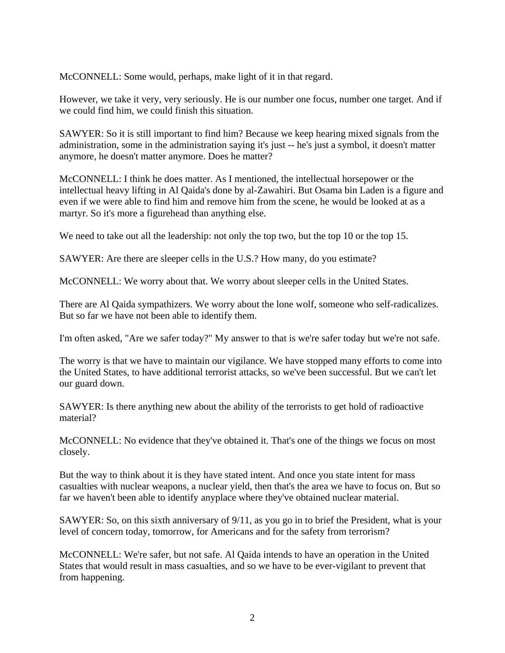McCONNELL: Some would, perhaps, make light of it in that regard.

However, we take it very, very seriously. He is our number one focus, number one target. And if we could find him, we could finish this situation.

SAWYER: So it is still important to find him? Because we keep hearing mixed signals from the administration, some in the administration saying it's just -- he's just a symbol, it doesn't matter anymore, he doesn't matter anymore. Does he matter?

McCONNELL: I think he does matter. As I mentioned, the intellectual horsepower or the intellectual heavy lifting in Al Qaida's done by al-Zawahiri. But Osama bin Laden is a figure and even if we were able to find him and remove him from the scene, he would be looked at as a martyr. So it's more a figurehead than anything else.

We need to take out all the leadership: not only the top two, but the top 10 or the top 15.

SAWYER: Are there are sleeper cells in the U.S.? How many, do you estimate?

McCONNELL: We worry about that. We worry about sleeper cells in the United States.

There are Al Qaida sympathizers. We worry about the lone wolf, someone who self-radicalizes. But so far we have not been able to identify them.

I'm often asked, "Are we safer today?" My answer to that is we're safer today but we're not safe.

The worry is that we have to maintain our vigilance. We have stopped many efforts to come into the United States, to have additional terrorist attacks, so we've been successful. But we can't let our guard down.

SAWYER: Is there anything new about the ability of the terrorists to get hold of radioactive material?

McCONNELL: No evidence that they've obtained it. That's one of the things we focus on most closely.

But the way to think about it is they have stated intent. And once you state intent for mass casualties with nuclear weapons, a nuclear yield, then that's the area we have to focus on. But so far we haven't been able to identify anyplace where they've obtained nuclear material.

SAWYER: So, on this sixth anniversary of 9/11, as you go in to brief the President, what is your level of concern today, tomorrow, for Americans and for the safety from terrorism?

McCONNELL: We're safer, but not safe. Al Qaida intends to have an operation in the United States that would result in mass casualties, and so we have to be ever-vigilant to prevent that from happening.